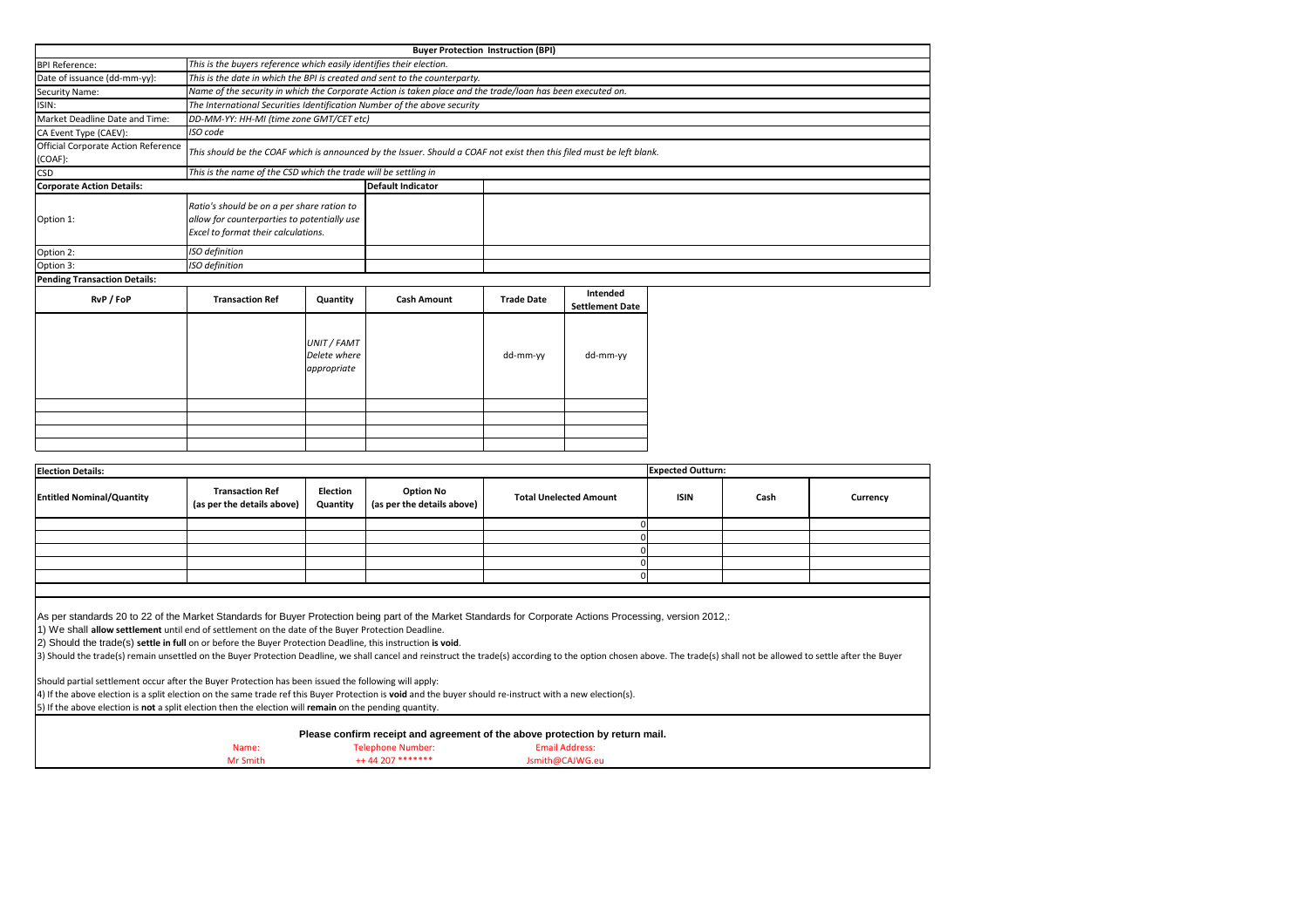2) Should the trade(s) **settle in full** on or before the Buyer Protection Deadline, this instruction **is void**.

3) Should the trade(s) remain unsettled on the Buyer Protection Deadline, we shall cancel and reinstruct the trade(s) according to the option chosen above. The trade(s) shall not be allowed to settle after the Buyer

|          |                     | Please confirm receipt and agreement of the above protection by return mail. |  |
|----------|---------------------|------------------------------------------------------------------------------|--|
| Name:    | Telephone Number:   | Email Address:                                                               |  |
| Mr Smith | $++ 44$ 207 ******* | Jsmith@CAJWG.eu                                                              |  |

**Currency** 

Should partial settlement occur after the Buyer Protection has been issued the following will apply:

| <b>Election Details:</b>         |                                                      |                             |                                                |                               |             | <b>Expected Outturn:</b> |  |
|----------------------------------|------------------------------------------------------|-----------------------------|------------------------------------------------|-------------------------------|-------------|--------------------------|--|
| <b>Entitled Nominal/Quantity</b> | <b>Transaction Ref</b><br>(as per the details above) | <b>Election</b><br>Quantity | <b>Option No</b><br>(as per the details above) | <b>Total Unelected Amount</b> | <b>ISIN</b> | Cash                     |  |
|                                  |                                                      |                             |                                                |                               |             |                          |  |
|                                  |                                                      |                             |                                                |                               |             |                          |  |
|                                  |                                                      |                             |                                                |                               |             |                          |  |
|                                  |                                                      |                             |                                                |                               |             |                          |  |
|                                  |                                                      |                             |                                                |                               |             |                          |  |
|                                  |                                                      |                             |                                                |                               |             |                          |  |

As per standards 20 to 22 of the Market Standards for Buyer Protection being part of the Market Standards for Corporate Actions Processing, version 2012,:

4) If the above election is a split election on the same trade ref this Buyer Protection is **void** and the buyer should re-instruct with a new election(s).

|                                                |                                                                                                                                  |                                                                                                                       |                                                                                                            | <b>Buyer Protection Instruction (BPI)</b> |                                    |  |  |  |  |  |
|------------------------------------------------|----------------------------------------------------------------------------------------------------------------------------------|-----------------------------------------------------------------------------------------------------------------------|------------------------------------------------------------------------------------------------------------|-------------------------------------------|------------------------------------|--|--|--|--|--|
| <b>BPI Reference:</b>                          | This is the buyers reference which easily identifies their election.                                                             |                                                                                                                       |                                                                                                            |                                           |                                    |  |  |  |  |  |
| Date of issuance (dd-mm-yy):                   | This is the date in which the BPI is created and sent to the counterparty.                                                       |                                                                                                                       |                                                                                                            |                                           |                                    |  |  |  |  |  |
| <b>Security Name:</b>                          |                                                                                                                                  |                                                                                                                       | Name of the security in which the Corporate Action is taken place and the trade/loan has been executed on. |                                           |                                    |  |  |  |  |  |
| ISIN:                                          |                                                                                                                                  | The International Securities Identification Number of the above security                                              |                                                                                                            |                                           |                                    |  |  |  |  |  |
| Market Deadline Date and Time:                 | DD-MM-YY: HH-MI (time zone GMT/CET etc)                                                                                          |                                                                                                                       |                                                                                                            |                                           |                                    |  |  |  |  |  |
| CA Event Type (CAEV):                          | ISO code                                                                                                                         |                                                                                                                       |                                                                                                            |                                           |                                    |  |  |  |  |  |
| Official Corporate Action Reference<br>(COAF): |                                                                                                                                  | This should be the COAF which is announced by the Issuer. Should a COAF not exist then this filed must be left blank. |                                                                                                            |                                           |                                    |  |  |  |  |  |
| <b>CSD</b>                                     | This is the name of the CSD which the trade will be settling in                                                                  |                                                                                                                       |                                                                                                            |                                           |                                    |  |  |  |  |  |
| <b>Corporate Action Details:</b>               |                                                                                                                                  |                                                                                                                       | <b>Default Indicator</b>                                                                                   |                                           |                                    |  |  |  |  |  |
| Option 1:                                      | Ratio's should be on a per share ration to<br>allow for counterparties to potentially use<br>Excel to format their calculations. |                                                                                                                       |                                                                                                            |                                           |                                    |  |  |  |  |  |
| Option 2:                                      | ISO definition                                                                                                                   |                                                                                                                       |                                                                                                            |                                           |                                    |  |  |  |  |  |
| Option 3:                                      | <b>ISO</b> definition                                                                                                            |                                                                                                                       |                                                                                                            |                                           |                                    |  |  |  |  |  |
| <b>Pending Transaction Details:</b>            |                                                                                                                                  |                                                                                                                       |                                                                                                            |                                           |                                    |  |  |  |  |  |
| RvP / FoP                                      | <b>Transaction Ref</b>                                                                                                           | Quantity                                                                                                              | <b>Cash Amount</b>                                                                                         | <b>Trade Date</b>                         | Intended<br><b>Settlement Date</b> |  |  |  |  |  |
|                                                |                                                                                                                                  | UNIT / FAMT<br>Delete where<br>appropriate                                                                            |                                                                                                            | dd-mm-yy                                  | dd-mm-yy                           |  |  |  |  |  |
|                                                |                                                                                                                                  |                                                                                                                       |                                                                                                            |                                           |                                    |  |  |  |  |  |
|                                                |                                                                                                                                  |                                                                                                                       |                                                                                                            |                                           |                                    |  |  |  |  |  |
|                                                |                                                                                                                                  |                                                                                                                       |                                                                                                            |                                           |                                    |  |  |  |  |  |
|                                                |                                                                                                                                  |                                                                                                                       |                                                                                                            |                                           |                                    |  |  |  |  |  |

5) If the above election is **not** a split election then the election will **remain** on the pending quantity.

1) We shall **allow settlement** until end of settlement on the date of the Buyer Protection Deadline.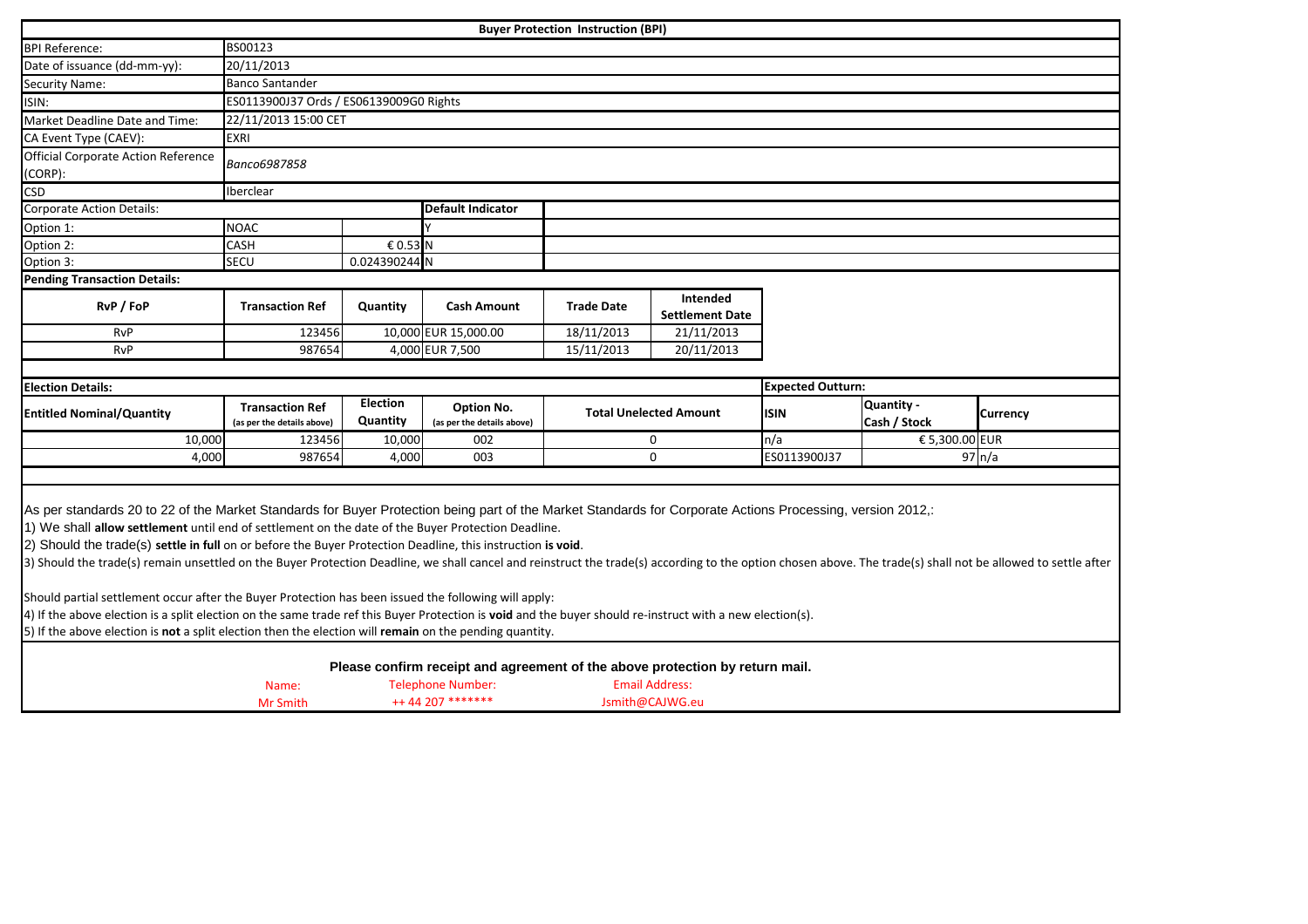|                                                                                                                                                                                                                                                                                                                                                                                                                                                                                                                                                                                                                                                                                                          |                                                      |                             |                                                                                                                               | <b>Buyer Protection Instruction (BPI)</b> |                                          |                          |                                   |                    |  |  |
|----------------------------------------------------------------------------------------------------------------------------------------------------------------------------------------------------------------------------------------------------------------------------------------------------------------------------------------------------------------------------------------------------------------------------------------------------------------------------------------------------------------------------------------------------------------------------------------------------------------------------------------------------------------------------------------------------------|------------------------------------------------------|-----------------------------|-------------------------------------------------------------------------------------------------------------------------------|-------------------------------------------|------------------------------------------|--------------------------|-----------------------------------|--------------------|--|--|
| <b>BPI Reference:</b>                                                                                                                                                                                                                                                                                                                                                                                                                                                                                                                                                                                                                                                                                    | BS00123                                              |                             |                                                                                                                               |                                           |                                          |                          |                                   |                    |  |  |
| Date of issuance (dd-mm-yy):                                                                                                                                                                                                                                                                                                                                                                                                                                                                                                                                                                                                                                                                             | 20/11/2013                                           |                             |                                                                                                                               |                                           |                                          |                          |                                   |                    |  |  |
| <b>Security Name:</b>                                                                                                                                                                                                                                                                                                                                                                                                                                                                                                                                                                                                                                                                                    | <b>Banco Santander</b>                               |                             |                                                                                                                               |                                           |                                          |                          |                                   |                    |  |  |
| ISIN:                                                                                                                                                                                                                                                                                                                                                                                                                                                                                                                                                                                                                                                                                                    | ES0113900J37 Ords / ES06139009G0 Rights              |                             |                                                                                                                               |                                           |                                          |                          |                                   |                    |  |  |
| Market Deadline Date and Time:                                                                                                                                                                                                                                                                                                                                                                                                                                                                                                                                                                                                                                                                           | 22/11/2013 15:00 CET                                 |                             |                                                                                                                               |                                           |                                          |                          |                                   |                    |  |  |
| CA Event Type (CAEV):                                                                                                                                                                                                                                                                                                                                                                                                                                                                                                                                                                                                                                                                                    | <b>EXRI</b>                                          |                             |                                                                                                                               |                                           |                                          |                          |                                   |                    |  |  |
| Official Corporate Action Reference<br>(CORP):                                                                                                                                                                                                                                                                                                                                                                                                                                                                                                                                                                                                                                                           | Banco6987858                                         |                             |                                                                                                                               |                                           |                                          |                          |                                   |                    |  |  |
| <b>CSD</b>                                                                                                                                                                                                                                                                                                                                                                                                                                                                                                                                                                                                                                                                                               | Iberclear                                            |                             |                                                                                                                               |                                           |                                          |                          |                                   |                    |  |  |
| <b>Corporate Action Details:</b>                                                                                                                                                                                                                                                                                                                                                                                                                                                                                                                                                                                                                                                                         |                                                      |                             | <b>Default Indicator</b>                                                                                                      |                                           |                                          |                          |                                   |                    |  |  |
| Option 1:                                                                                                                                                                                                                                                                                                                                                                                                                                                                                                                                                                                                                                                                                                | <b>NOAC</b>                                          |                             |                                                                                                                               |                                           |                                          |                          |                                   |                    |  |  |
| Option 2:                                                                                                                                                                                                                                                                                                                                                                                                                                                                                                                                                                                                                                                                                                | <b>CASH</b>                                          | € 0.53 N                    |                                                                                                                               |                                           |                                          |                          |                                   |                    |  |  |
| Option 3:                                                                                                                                                                                                                                                                                                                                                                                                                                                                                                                                                                                                                                                                                                | SECU                                                 | 0.024390244 N               |                                                                                                                               |                                           |                                          |                          |                                   |                    |  |  |
| <b>Pending Transaction Details:</b>                                                                                                                                                                                                                                                                                                                                                                                                                                                                                                                                                                                                                                                                      |                                                      |                             |                                                                                                                               |                                           |                                          |                          |                                   |                    |  |  |
| RvP / FoP                                                                                                                                                                                                                                                                                                                                                                                                                                                                                                                                                                                                                                                                                                | <b>Transaction Ref</b>                               | Quantity                    | <b>Cash Amount</b>                                                                                                            | <b>Trade Date</b>                         | Intended<br><b>Settlement Date</b>       |                          |                                   |                    |  |  |
| <b>RvP</b>                                                                                                                                                                                                                                                                                                                                                                                                                                                                                                                                                                                                                                                                                               | 123456                                               |                             | 10,000 EUR 15,000.00                                                                                                          | 18/11/2013                                | 21/11/2013                               |                          |                                   |                    |  |  |
| <b>RvP</b>                                                                                                                                                                                                                                                                                                                                                                                                                                                                                                                                                                                                                                                                                               | 987654                                               |                             | 4,000 EUR 7,500                                                                                                               | 15/11/2013                                | 20/11/2013                               |                          |                                   |                    |  |  |
|                                                                                                                                                                                                                                                                                                                                                                                                                                                                                                                                                                                                                                                                                                          |                                                      |                             |                                                                                                                               |                                           |                                          |                          |                                   |                    |  |  |
| <b>Election Details:</b>                                                                                                                                                                                                                                                                                                                                                                                                                                                                                                                                                                                                                                                                                 |                                                      |                             |                                                                                                                               |                                           |                                          | <b>Expected Outturn:</b> |                                   |                    |  |  |
| <b>Entitled Nominal/Quantity</b>                                                                                                                                                                                                                                                                                                                                                                                                                                                                                                                                                                                                                                                                         | <b>Transaction Ref</b><br>(as per the details above) | <b>Election</b><br>Quantity | <b>Option No.</b><br>(as per the details above)                                                                               |                                           | <b>Total Unelected Amount</b>            | <b>ISIN</b>              | <b>Quantity -</b><br>Cash / Stock | <b>Currency</b>    |  |  |
| 10,000                                                                                                                                                                                                                                                                                                                                                                                                                                                                                                                                                                                                                                                                                                   | 123456                                               | 10,000                      | 002                                                                                                                           |                                           | 0                                        | n/a                      | € 5,300.00 EUR                    |                    |  |  |
| 4,000                                                                                                                                                                                                                                                                                                                                                                                                                                                                                                                                                                                                                                                                                                    | 987654                                               | 4,000                       | 003                                                                                                                           |                                           | 0                                        | ES0113900J37             |                                   | $97 \, \text{n/a}$ |  |  |
|                                                                                                                                                                                                                                                                                                                                                                                                                                                                                                                                                                                                                                                                                                          |                                                      |                             |                                                                                                                               |                                           |                                          |                          |                                   |                    |  |  |
| As per standards 20 to 22 of the Market Standards for Buyer Protection being part of the Market Standards for Corporate Actions Processing, version 2012,:<br>1) We shall allow settlement until end of settlement on the date of the Buyer Protection Deadline.<br>2) Should the trade(s) settle in full on or before the Buyer Protection Deadline, this instruction is void.<br>3) Should the trade(s) remain unsettled on the Buyer Protection Deadline, we shall cancel and reinstruct the trade(s) according to the option chosen above. The trade(s) shall not be allowed to settle after<br>Should partial settlement occur after the Buyer Protection has been issued the following will apply: |                                                      |                             |                                                                                                                               |                                           |                                          |                          |                                   |                    |  |  |
| 4) If the above election is a split election on the same trade ref this Buyer Protection is void and the buyer should re-instruct with a new election(s).                                                                                                                                                                                                                                                                                                                                                                                                                                                                                                                                                |                                                      |                             |                                                                                                                               |                                           |                                          |                          |                                   |                    |  |  |
| 5) If the above election is not a split election then the election will remain on the pending quantity.                                                                                                                                                                                                                                                                                                                                                                                                                                                                                                                                                                                                  |                                                      |                             |                                                                                                                               |                                           |                                          |                          |                                   |                    |  |  |
|                                                                                                                                                                                                                                                                                                                                                                                                                                                                                                                                                                                                                                                                                                          |                                                      |                             |                                                                                                                               |                                           |                                          |                          |                                   |                    |  |  |
|                                                                                                                                                                                                                                                                                                                                                                                                                                                                                                                                                                                                                                                                                                          | Name:<br>Mr Smith                                    |                             | Please confirm receipt and agreement of the above protection by return mail.<br><b>Telephone Number:</b><br>++ 44 207 ******* |                                           | <b>Email Address:</b><br>Jsmith@CAJWG.eu |                          |                                   |                    |  |  |